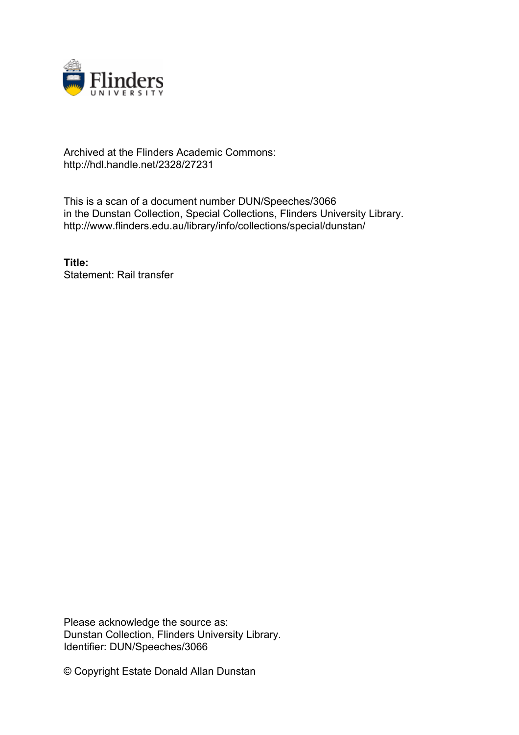

## Archived at the Flinders Academic Commons: http://hdl.handle.net/2328/27231

This is a scan of a document number DUN/Speeches/3066 in the Dunstan Collection, Special Collections, Flinders University Library. http://www.flinders.edu.au/library/info/collections/special/dunstan/

**Title:** Statement: Rail transfer

Please acknowledge the source as: Dunstan Collection, Flinders University Library. Identifier: DUN/Speeches/3066

© Copyright Estate Donald Allan Dunstan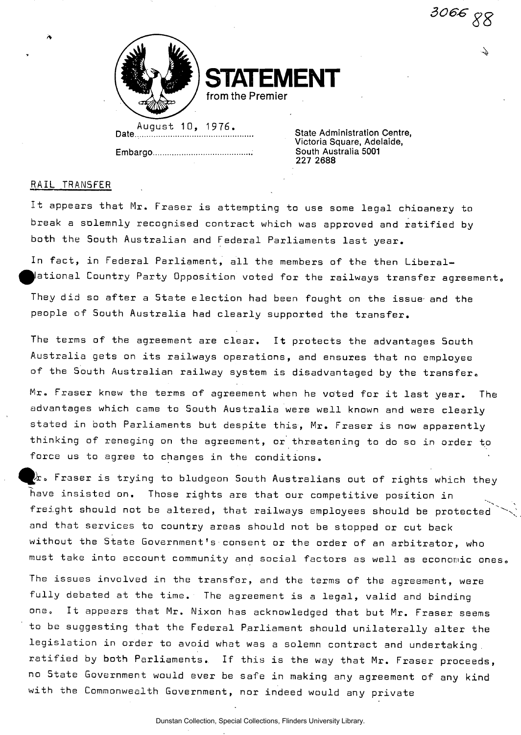*306&* 



**STATEMENT** 

**from the Premier** 

Date.................. **Embargo**  August 10, 1976.

**State Administration Centre, Victoria Square, Adelaide, South Australia 5001 227 2688** 

## RAIL TRANSFER

It appears that Mr. Fraser is attempting to use some legal chicanery to break a solemnly recognised contract which was approved and ratified by both the South Australian and Federal Parliaments last year.

In fact, in Federal Parliament, all the members of the then Liberal- $\,\parallel$ ational Country Party Opposition voted for the railways transfer agreement, They did so after a State election had been fought on the issue- and the people of South Australia had clearly supported the transfer.

The terms of the agreement are clear. It protects the advantages South Australia gets on its railways operations, and ensures that no employee of the South Australian railway system is disadvantaged by the transfer.

Mr. Fraser knew the terms of agreement when he voted for it last year. The advantages which came to South Australia were well known and were clearly stated in both Parliaments but despite this, Mr. Fraser is now apparently thinking of reneging on the agreement, or threatening to do so in order to force us to agree to changes in the conditions.

 $\lambda$  . Fraser is trying to bludgeon South Australians out of rights which they have insisted on. Those rights are that our competitive position in freight should not be altered, that railways employees should be protected and that services to country areas should not be stopped or cut back without the State Government's consent or the order of an arbitrator, who must take into account community and social factors as well as economic ones

The issues involved in the transfer, and the terms of the agreement, were fully debated at the time. The agreement is a legal, valid and binding one. It appears that Mr. Nixon has acknowledged that but Mr. Fraser seems to be suggesting that the Federal Parliament should unilaterally alter the legislation in order to avoid what was a solemn contract and undertaking . ratified by both Parliaments. If this is the way that Mr. Fraser proceeds, no State Government would ever be safe in making any agreement of any kind with the Commonwealth Government, nor indeed would any private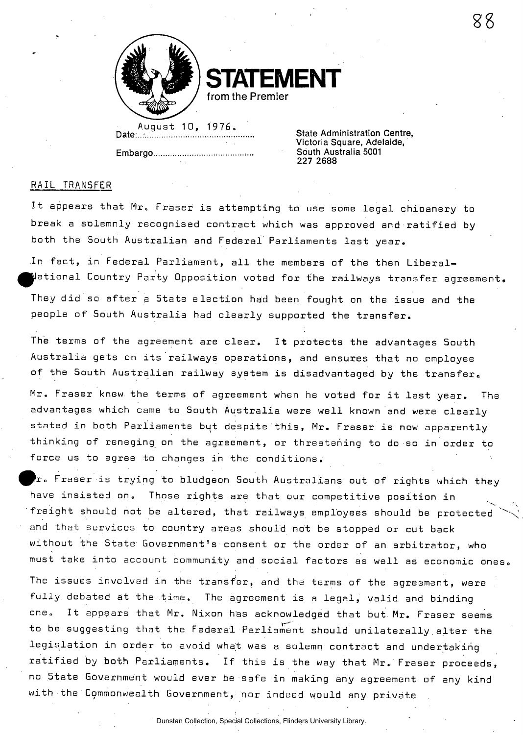

**IFNT from the Premier** 

August 10, 1976. State Administration Centre. **Date:...- State Administration Centre, Embargo ...........................**...

**Victoria Square, Adelaide, 227 2688** 

## RAIL TRANSFER

It appears that Mr. Fraser is attempting to use some legal chioanery to break a solemnly recognised contract which was approved and ratified by both the South Australian and Federal Parliaments last year.

In fact, in Federal Parliament, all the members of the then Liberal-  $\parallel$ ational Country Party Opposition voted for the railways transfer agreement. They did so after a State election had been fought on the issue and the people of South Australia had clearly supported the transfer.

The terms of the agreement are clear. It protects the advantages South Australia gets on its railways operations, and ensures that no employee of the South Australian railway system is disadvantaged by the transfer.

Mr. Fraser knew the terms of agreement when he voted for it last year. The advantages which came to South Australia were well known and were clearly stated in both Parliaments but despite this, Mr. Fraser is now apparently thinking of reneging on the agreement, or threatening to do so in order to force us to agree to changes in the conditions.

 ${\bf r}$ . Fraser is trying to bludgeon South Australians out of rights which they have insisted on. Those rights are that our competitive position in freight should not be altered, that railways employees should be protected and that services to country areas should not be stopped or cut back without the State Government's consent or the order of an arbitrator, who must take into account community and social factors as well as economic ones. The issues involved in the transfer, and the terms of the agreement, were fully, debated at the time. The agreement is a legal, valid and binding one. It appears that Mr. Nixon has acknowledged that but Mr. Fraser seems to be suggesting that the Federal Parliament should unilaterally alter the legislation in order to avoid what was a solemn contract and undertaking ratified by both Parliaments. If this is the way that Mr. Fraser proceeds, no State Government would ever be safe in making any agreement of any kind with the Commonwealth Government, nor indeed would any private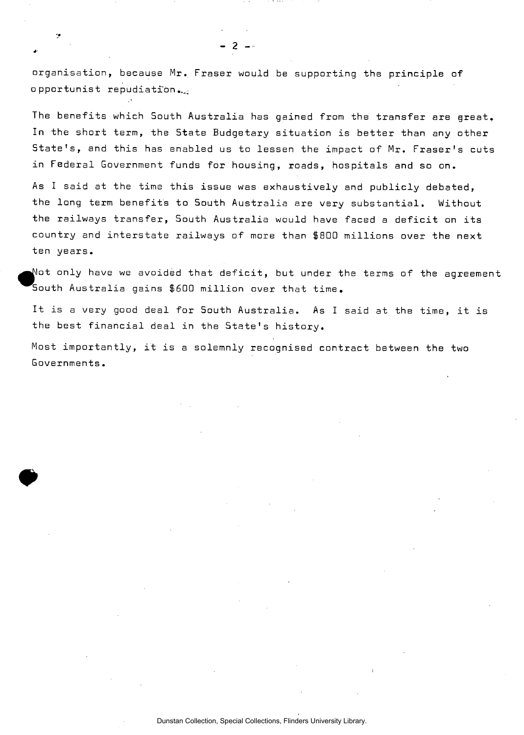organisation, because Mr. Fraser would be supporting the principle of opportunist repudiation

**- 2 -**

79

The benefits which South Australia has gained from the transfer are great. In the short term, the 5tate Budgetary situation is better than any other State's, and this has enabled us to lessen the impact of Mr. Fraser's cuts in Federal Government funds for housing, roads, hospitals and so on.

As I said at the time this issue was exhaustively and publicly debated, the long term benefits to South Australia are very substantial. Without the railways transfer, South Australia would have faced a deficit on its country and interstate railways of more than \$800 millions over the next ten years.

Not only have we avoided that deficit, but under the terms of the agreement South Australia gains \$600 million over that time.

It is a very good deal for South Australia. As I said at the time, it is the best financial deal in the State's history.

Most importantly, it is a solemnly recognised contract between the two Governments.